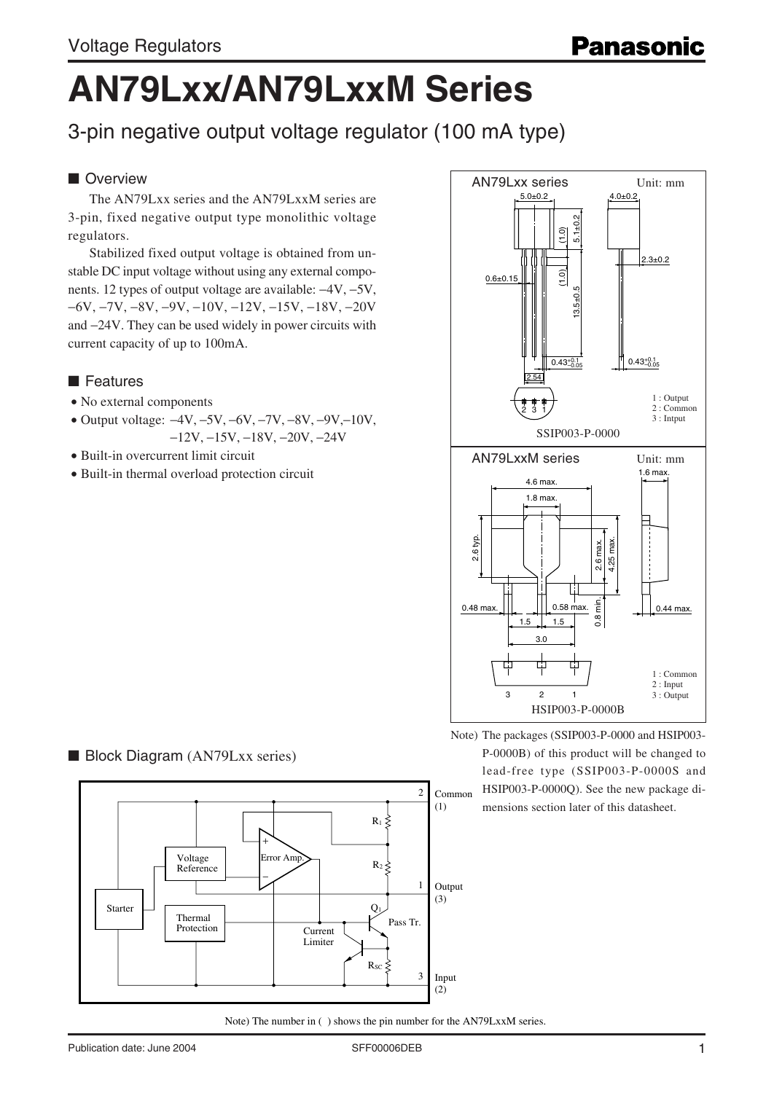# **AN79Lxx/AN79LxxM Series**

3-pin negative output voltage regulator (100 mA type)

# ■ Overview

The AN79Lxx series and the AN79LxxM series are 3-pin, fixed negative output type monolithic voltage regulators.

Stabilized fixed output voltage is obtained from unstable DC input voltage without using any external components. 12 types of output voltage are available: −4V, −5V, −6V, −7V, −8V, −9V, −10V, −12V, −15V, −18V, −20V and −24V. They can be used widely in power circuits with current capacity of up to 100mA.

### ■ Features

- No external components
- Output voltage: −4V, −5V, −6V, −7V, −8V, −9V,−10V, −12V, −15V, −18V, −20V, −24V
- Built-in overcurrent limit circuit
- Built-in thermal overload protection circuit



Note) The packages (SSIP003-P-0000 and HSIP003- P-0000B) of this product will be changed to lead-free type (SSIP003-P-0000S and HSIP003-P-0000Q). See the new package dimensions section later of this datasheet.

#### ■ Block Diagram (AN79Lxx series)

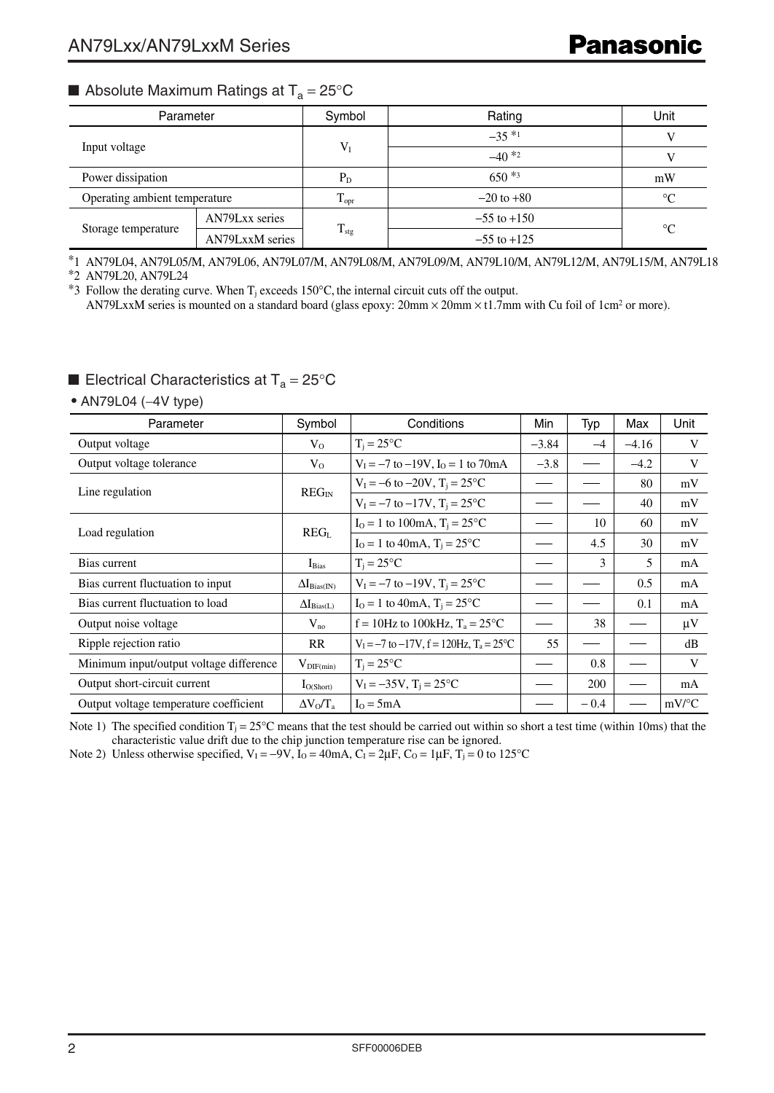# **■ Absolute Maximum Ratings at T<sub>a</sub> = 25°C**

| Parameter                     |                 | Symbol           | Rating          | Unit        |  |
|-------------------------------|-----------------|------------------|-----------------|-------------|--|
| Input voltage                 |                 |                  | $-35*1$         |             |  |
|                               |                 | $V_{I}$          | $-40*2$         |             |  |
| Power dissipation             |                 | $P_{D}$          | $650*3$         | mW          |  |
| Operating ambient temperature |                 | $T_{\text{opr}}$ | $-20$ to $+80$  | $^{\circ}C$ |  |
|                               | AN79Lxx series  |                  | $-55$ to $+150$ |             |  |
| Storage temperature           | AN79LxxM series | $T_{\text{stg}}$ | $-55$ to $+125$ | $^{\circ}C$ |  |

\*1 AN79L04, AN79L05/M, AN79L06, AN79L07/M, AN79L08/M, AN79L09/M, AN79L10/M, AN79L12/M, AN79L15/M, AN79L18

\*2 AN79L20, AN79L24

\*3 Follow the derating curve. When  $T_j$  exceeds 150°C, the internal circuit cuts off the output. AN79LxxM series is mounted on a standard board (glass epoxy:  $20 \text{mm} \times 20 \text{mm} \times 11.7 \text{mm}$  with Cu foil of  $1 \text{cm}^2$  or more).

# **Electrical Characteristics at T<sub>a</sub> = 25°C**

• AN79L04 (−4V type)

| Parameter                               | Symbol                       | Conditions                                                     | Min     | Typ    | Max     | Unit                |
|-----------------------------------------|------------------------------|----------------------------------------------------------------|---------|--------|---------|---------------------|
| Output voltage                          | $V_{O}$                      | $T_i = 25$ °C                                                  | $-3.84$ | $-4$   | $-4.16$ | V                   |
| Output voltage tolerance                | $V_{O}$                      | $V_1 = -7$ to $-19V$ , $I_0 = 1$ to $70mA$                     | $-3.8$  |        | $-4.2$  | V                   |
| Line regulation                         | $REG_{IN}$                   | $V_1 = -6$ to $-20V$ , $T_i = 25^{\circ}C$                     |         |        | 80      | mV                  |
|                                         |                              | $V_1 = -7$ to $-17V$ , $T_i = 25^{\circ}C$                     |         |        | 40      | mV                  |
| Load regulation                         | REG <sub>L</sub>             | $I_0 = 1$ to 100mA, $T_i = 25$ °C                              |         | 10     | 60      | mV                  |
|                                         |                              | $I_0 = 1$ to 40mA, $T_i = 25$ °C                               |         | 4.5    | 30      | mV                  |
| Bias current                            | $I_{Bias}$                   | $T_i = 25^{\circ}C$                                            |         | 3      | 5       | mA                  |
| Bias current fluctuation to input       | $\Delta I_{\text{Bias(IN)}}$ | $V_1 = -7$ to $-19V$ , $T_i = 25^{\circ}C$                     |         |        | 0.5     | mA                  |
| Bias current fluctuation to load        | $\Delta I_{Bias(L)}$         | $I_0 = 1$ to 40mA, $T_i = 25$ °C                               |         |        | 0.1     | mA                  |
| Output noise voltage                    | $V_{no}$                     | $f = 10$ Hz to 100kHz, $T_a = 25$ °C                           |         | 38     |         | $\mu$ V             |
| Ripple rejection ratio                  | RR                           | $V_1 = -7$ to $-17V$ , $f = 120$ Hz, $T_a = 25$ <sup>o</sup> C | 55      |        |         | dB                  |
| Minimum input/output voltage difference | $V_{\text{DIF}(min)}$        | $T_i = 25^{\circ}C$                                            |         | 0.8    |         | V                   |
| Output short-circuit current            | $I_{O(Short)}$               | $V_1 = -35V$ , $T_i = 25^{\circ}C$                             |         | 200    |         | mA                  |
| Output voltage temperature coefficient  | $\Delta V_0/T_a$             | $I_0 = 5mA$                                                    |         | $-0.4$ |         | $mV$ <sup>o</sup> C |

Note 1) The specified condition  $T_i = 25^\circ$ C means that the test should be carried out within so short a test time (within 10ms) that the characteristic value drift due to the chip junction temperature rise can be ignored.

Note 2) Unless otherwise specified,  $V_1 = -9V$ ,  $I_0 = 40 \text{mA}$ ,  $C_1 = 2 \mu \text{F}$ ,  $C_0 = 1 \mu \text{F}$ ,  $T_1 = 0$  to 125°C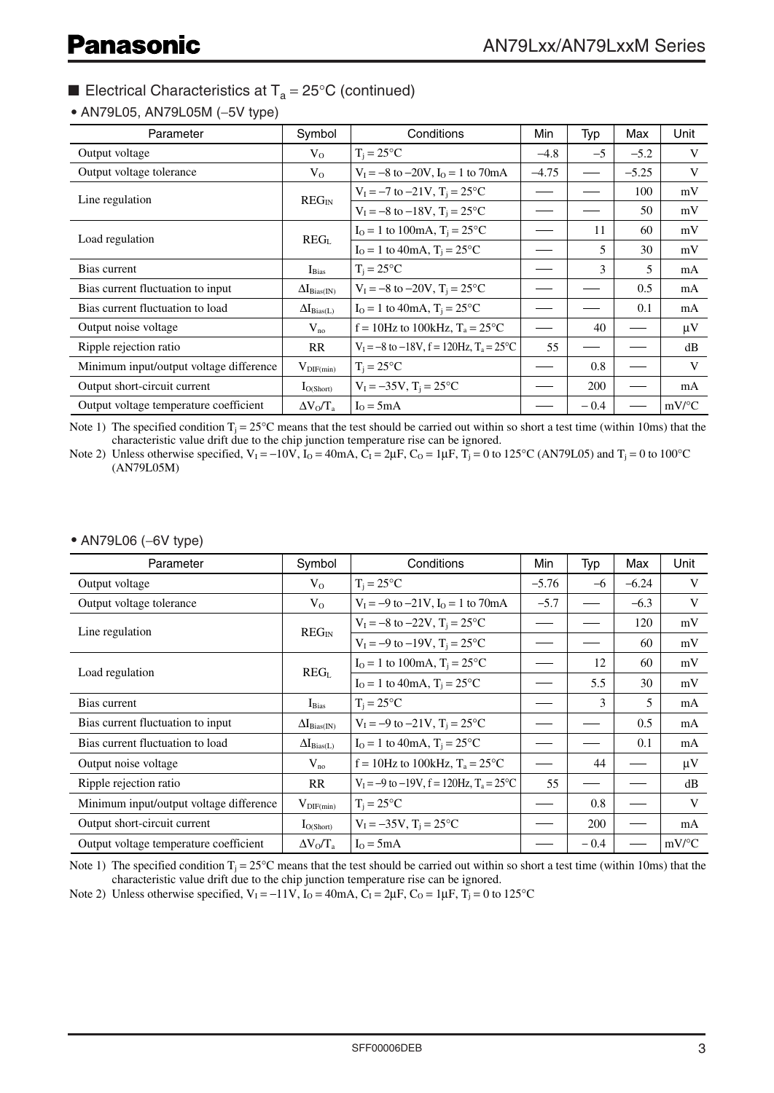• AN79L05, AN79L05M (−5V type)

| Parameter                               | Symbol                | Conditions                                                     | Min     | Typ           | Max     | Unit                |
|-----------------------------------------|-----------------------|----------------------------------------------------------------|---------|---------------|---------|---------------------|
| Output voltage                          | $V_{O}$               | $T_i = 25^{\circ}C$                                            | $-4.8$  | $-5$          | $-5.2$  | V                   |
| Output voltage tolerance                | $V_{O}$               | $V_I = -8$ to $-20V$ , $I_O = 1$ to 70mA                       | $-4.75$ |               | $-5.25$ | V                   |
|                                         | $REG_{IN}$            | $V_1 = -7$ to $-21V$ , $T_i = 25^{\circ}C$                     |         |               | 100     | mV                  |
| Line regulation                         |                       | $V_1 = -8$ to $-18V$ , $T_i = 25^{\circ}C$                     |         |               | 50      | mV                  |
|                                         | REG <sub>L</sub>      | $I_0 = 1$ to 100mA, $T_i = 25$ °C                              |         | 11            | 60      | mV                  |
| Load regulation                         |                       | $I_0 = 1$ to 40mA, $T_i = 25$ °C                               |         | 5             | 30      | mV                  |
| Bias current                            | $I_{Bias}$            | $T_i = 25^{\circ}C$                                            |         | $\mathcal{E}$ | 5       | mA                  |
| Bias current fluctuation to input       | $\Delta I_{Bias(IN)}$ | $V_1 = -8$ to $-20V$ , $T_i = 25^{\circ}C$                     |         |               | 0.5     | mA                  |
| Bias current fluctuation to load        | $\Delta I_{Bias(L)}$  | $I_0 = 1$ to 40mA, $T_i = 25$ °C                               |         |               | 0.1     | mA                  |
| Output noise voltage                    | $V_{no}$              | $f = 10$ Hz to 100kHz, $T_a = 25$ °C                           |         | 40            |         | $\mu$ V             |
| Ripple rejection ratio                  | <b>RR</b>             | $V_1 = -8$ to $-18V$ , $f = 120$ Hz, $T_a = 25$ <sup>o</sup> C | 55      |               |         | dB                  |
| Minimum input/output voltage difference | $V_{\text{DIF}(min)}$ | $T_i = 25^{\circ}C$                                            |         | 0.8           |         | V                   |
| Output short-circuit current            | $I_{O(Short)}$        | $V_1 = -35V$ , $T_i = 25^{\circ}C$                             |         | 200           |         | mA                  |
| Output voltage temperature coefficient  | $\Delta V_0/T_a$      | $I_0 = 5mA$                                                    |         | $-0.4$        |         | $mV$ <sup>o</sup> C |

Note 1) The specified condition  $T_i = 25^{\circ}\text{C}$  means that the test should be carried out within so short a test time (within 10ms) that the characteristic value drift due to the chip junction temperature rise can be ignored.

Note 2) Unless otherwise specified,  $V_1 = -10V$ ,  $I_0 = 40$  mA,  $C_1 = 2\mu$ F,  $C_0 = 1\mu$ F,  $T_1 = 0$  to 125°C (AN79L05) and  $T_1 = 0$  to 100°C (AN79L05M)

• AN79L06 (−6V type)

| Parameter                               | Symbol                       | Conditions                                               | Min     | Typ    | Max     | Unit                |
|-----------------------------------------|------------------------------|----------------------------------------------------------|---------|--------|---------|---------------------|
| Output voltage                          | $V_{O}$                      | $T_i = 25$ °C                                            | $-5.76$ | $-6$   | $-6.24$ | V                   |
| Output voltage tolerance                | $V_{O}$                      | $V_1 = -9$ to $-21V$ , $I_0 = 1$ to 70mA                 | $-5.7$  |        | $-6.3$  | V                   |
| Line regulation                         | $REG_{IN}$                   | $V_1 = -8$ to $-22V$ , $T_i = 25^{\circ}C$               |         |        | 120     | mV                  |
|                                         |                              | $V_1 = -9$ to $-19V$ , $T_1 = 25^{\circ}C$               |         |        | 60      | mV                  |
|                                         |                              | $I_0 = 1$ to 100mA, $T_i = 25$ °C                        |         | 12     | 60      | mV                  |
| Load regulation                         | REG <sub>L</sub>             | $I_0 = 1$ to 40mA, $T_i = 25$ °C                         |         | 5.5    | 30      | mV                  |
| Bias current                            | $I_{Bias}$                   | $T_i = 25^{\circ}C$                                      |         | 3      | 5       | mA                  |
| Bias current fluctuation to input       | $\Delta I_{\text{Bias(IN)}}$ | $V_1 = -9$ to $-21V$ , $T_i = 25^{\circ}C$               |         |        | 0.5     | mA                  |
| Bias current fluctuation to load        | $\Delta I_{\text{Bias}(L)}$  | $I_0 = 1$ to 40mA, $T_i = 25$ °C                         |         |        | 0.1     | mA                  |
| Output noise voltage                    | $V_{no}$                     | $f = 10$ Hz to 100kHz, $T_a = 25$ °C                     |         | 44     |         | $\mu$ V             |
| Ripple rejection ratio                  | RR                           | $V_1 = -9$ to $-19V$ , $f = 120Hz$ , $T_a = 25^{\circ}C$ | 55      |        |         | dB                  |
| Minimum input/output voltage difference | $V_{\text{DIF}(min)}$        | $T_i = 25^{\circ}C$                                      |         | 0.8    |         | V                   |
| Output short-circuit current            | $I_{O(Short)}$               | $V_1 = -35V$ , $T_i = 25^{\circ}C$                       |         | 200    |         | mA                  |
| Output voltage temperature coefficient  | $\Delta V_0/T_a$             | $I_0 = 5mA$                                              |         | $-0.4$ |         | $mV$ <sup>o</sup> C |

Note 1) The specified condition  $T_i = 25^\circ$ C means that the test should be carried out within so short a test time (within 10ms) that the characteristic value drift due to the chip junction temperature rise can be ignored.

Note 2) Unless otherwise specified,  $V_1 = -11V$ ,  $\dot{I}_0 = 40 \text{mA}$ ,  $\dot{C}_1 = 2\mu\text{F}$ ,  $C_0 = 1\mu\text{F}$ ,  $\dot{T}_j = 0$  to 125°C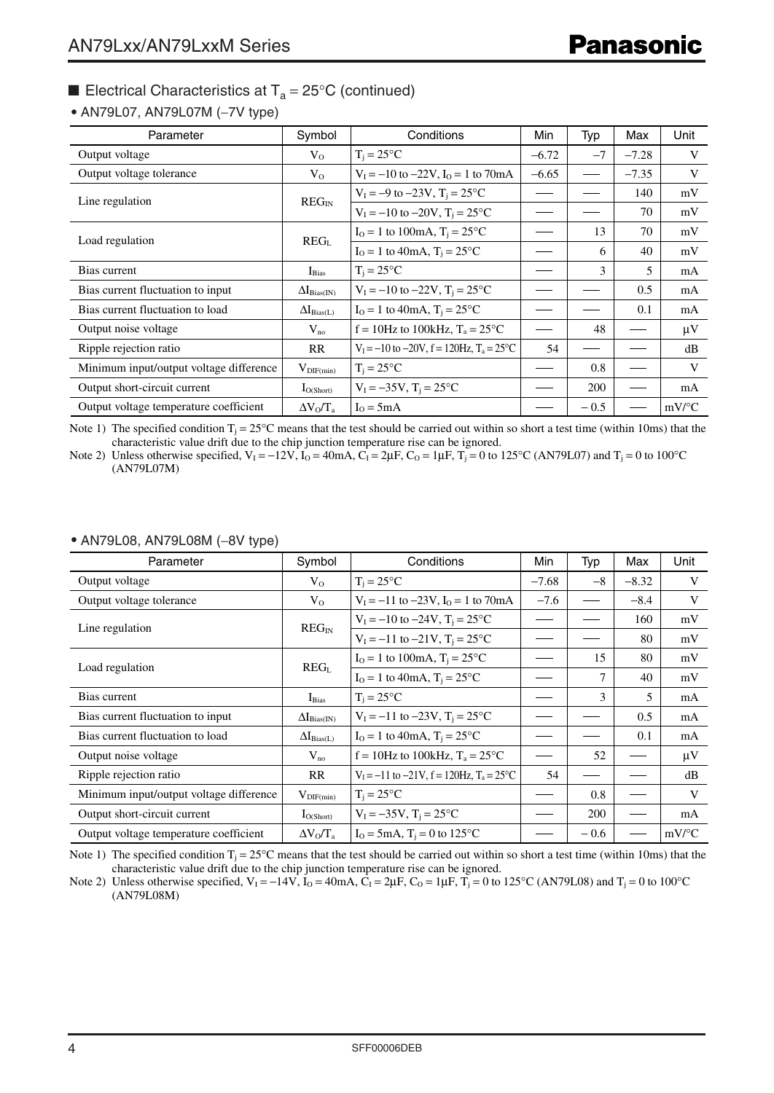#### • AN79L07, AN79L07M (−7V type)

| Parameter                               | Symbol                | Conditions                                                      | Min     | Typ    | Max     | Unit                |
|-----------------------------------------|-----------------------|-----------------------------------------------------------------|---------|--------|---------|---------------------|
| Output voltage                          | $V_{O}$               | $T_i = 25^{\circ}C$                                             | $-6.72$ | $-7$   | $-7.28$ | V                   |
| Output voltage tolerance                | $V_{O}$               | $V_I = -10$ to $-22V$ , $I_O = 1$ to 70mA                       | $-6.65$ |        | $-7.35$ | V                   |
| Line regulation                         | $REG_{IN}$            | $V_1 = -9$ to $-23V$ , $T_i = 25^{\circ}C$                      |         |        | 140     | mV                  |
|                                         |                       | $V_1 = -10$ to $-20V$ , $T_i = 25^{\circ}C$                     |         |        | 70      | mV                  |
| Load regulation                         |                       | $I_0 = 1$ to 100mA, $T_i = 25^{\circ}C$                         |         | 13     | 70      | mV                  |
|                                         | REG <sub>L</sub>      | $I_0 = 1$ to 40mA, $T_i = 25^{\circ}C$                          |         | 6      | 40      | mV                  |
| Bias current                            | $I_{Bias}$            | $T_i = 25^{\circ}C$                                             |         | 3      | 5       | mA                  |
| Bias current fluctuation to input       | $\Delta I_{Bias(IN)}$ | $V_1 = -10$ to $-22V$ , $T_i = 25^{\circ}C$                     |         |        | 0.5     | mA                  |
| Bias current fluctuation to load        | $\Delta I_{Bias(L)}$  | $I_0 = 1$ to 40mA, $T_i = 25$ °C                                |         |        | 0.1     | mA                  |
| Output noise voltage                    | $V_{no}$              | $f = 10$ Hz to 100kHz, $T_a = 25$ °C                            |         | 48     |         | $\mu$ V             |
| Ripple rejection ratio                  | <b>RR</b>             | $V_1 = -10$ to $-20V$ , $f = 120$ Hz, $T_a = 25$ <sup>o</sup> C | 54      |        |         | dB                  |
| Minimum input/output voltage difference | $V_{\text{DIF}(min)}$ | $T_i = 25^{\circ}C$                                             |         | 0.8    |         | V                   |
| Output short-circuit current            | $I_{O(Short)}$        | $V_1 = -35V$ , $T_i = 25^{\circ}C$                              |         | 200    |         | mA                  |
| Output voltage temperature coefficient  | $\Delta V_0/T_a$      | $I_0 = 5mA$                                                     |         | $-0.5$ |         | $mV$ <sup>o</sup> C |

Note 1) The specified condition  $T_j = 25^\circ$ C means that the test should be carried out within so short a test time (within 10ms) that the characteristic value drift due to the chip junction temperature rise can be ignored.

Note 2) Unless otherwise specified,  $V_1 = -12V$ ,  $I_0 = 40mA$ ,  $C_1 = 2\mu$ F,  $C_0 = 1\mu$ F,  $T_1 = 0$  to 125°C (AN79L07) and  $T_1 = 0$  to 100°C (AN79L07M)

#### $V_0$   $T_i = 25^{\circ}C$   $-7.68$   $-8$   $-8.32$  V  $V_0$   $|V_1 = -11$  to  $-23V$ ,  $I_0 = 1$  to  $70$ mA  $| -7.6 | -8.4 |$  V  $REG_{IN}$  $V_1 = -10$  to  $-24V$ ,  $T_1 = 25$ °C  $\qquad$   $\qquad$   $\qquad$   $\qquad$   $\qquad$   $\qquad$   $\qquad$   $\qquad$   $\qquad$   $\qquad$   $\qquad$   $\qquad$   $\qquad$   $\qquad$   $\qquad$   $\qquad$   $\qquad$   $\qquad$   $\qquad$   $\qquad$   $\qquad$   $\qquad$   $\qquad$   $\qquad$   $\qquad$   $\qquad$   $\qquad$   $\qquad$   $\qquad$   $\qquad$   $\qquad$   $\$ mV REG<sub>L</sub>  $I_0 = 1$  to 100mA,  $T_i = 25^{\circ}\text{C}$   $\rightarrow$  15  $\mid$  80  $\mid$  mV  $I_0 = 1$  to 40mA,  $T_i = 25^{\circ}\text{C}$   $\rightarrow$   $\rightarrow$   $\rightarrow$   $\rightarrow$   $\rightarrow$   $\rightarrow$  40  $\rightarrow$  mV  $V_1 = -11$  to  $-21V$ ,  $T_1 = 25$ °C IBias Tj = 25°C mA  $\Delta I_{\text{Bias}(\text{IN})}$   $|V_1 = -11 \text{ to } -23V, T_1 = 25^{\circ}\text{C}$   $| \text{ } \rightarrow \text{ } | \text{ } \rightarrow \text{ } | \text{ } \rightarrow \text{ } 0.5$  mA  $\Delta I_{\text{Bias}(L)}$  |  $I_0 = 1$  to 40mA,  $T_i = 25^{\circ}\text{C}$  |  $\longrightarrow$  |  $\longrightarrow$  | 0.1 | mA µV Vno dB  $f = 10$ Hz to 100kHz,  $T_a = 25$ °C RR  $|V_1 = -11$  to  $-21V$ ,  $f = 120Hz$ ,  $T_a = 25^{\circ}C$  $V_{\text{DIF(min)}}$   $T_j = 25^{\circ}C$   $\qquad \qquad \qquad$   $\qquad \qquad$   $\qquad \qquad$   $\qquad \qquad$   $\qquad \qquad$   $\qquad \qquad$   $\qquad \qquad$   $\qquad \qquad$   $\qquad \qquad$   $\qquad \qquad$   $\qquad \qquad$   $\qquad \qquad$   $\qquad \qquad$   $\qquad \qquad$   $\qquad \qquad$   $\qquad \qquad$   $\qquad \qquad$   $\qquad \qquad$   $\qquad \qquad$   $\qquad \qquad$   $\qquad \qquad$   $\q$  $I_{O(Sbot)}$   $|V_1 = -35V, T_j = 25^{\circ}C$   $| -1200 | -1200 |$  mA mV/°C  $\Delta V_0/T_a$  | I<sub>O</sub> = 5mA, T<sub>i</sub> = 0 to 125<sup>o</sup>C −8 −8.32 160 15 3 52 0.5 0.1 80 −8.4 80 40 5 54 −7.68 −7.6 0.8 200 − 0.6 7 Parameter | Symbol | Conditions | Min | Typ | Max Output voltage Output voltage tolerance Line regulation Load regulation Bias current Bias current fluctuation to input Bias current fluctuation to load Output noise voltage Ripple rejection ratio Minimum input/output voltage difference Output short-circuit current Output voltage temperature coefficient Unit

#### • AN79L08, AN79L08M (−8V type)

Note 1) The specified condition  $T_i = 25^\circ$ C means that the test should be carried out within so short a test time (within 10ms) that the characteristic value drift due to the chip junction temperature rise can be ignored.

Note 2) Unless otherwise specified,  $V_1 = -14V$ ,  $I_0 = 40mA$ ,  $C_1 = 2\mu$ F,  $C_0 = 1\mu$ F,  $T_1 = 0$  to  $125^{\circ}$ C (AN79L08) and  $T_1 = 0$  to  $100^{\circ}$ C (AN79L08M)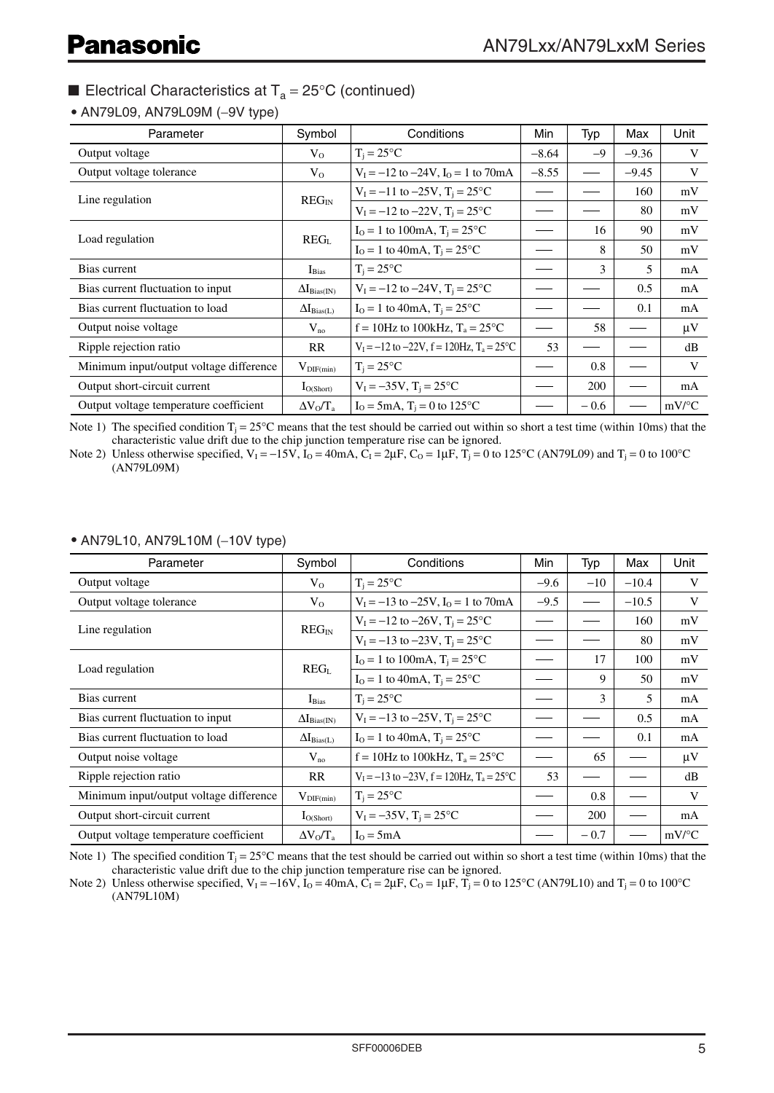• AN79L09, AN79L09M (−9V type)

| Parameter                               | Symbol                | Conditions                                                      | Min     | Typ    | Max     | Unit                |
|-----------------------------------------|-----------------------|-----------------------------------------------------------------|---------|--------|---------|---------------------|
| Output voltage                          | $V_{O}$               | $T_i = 25^{\circ}C$                                             | $-8.64$ | $-9$   | $-9.36$ | V                   |
| Output voltage tolerance                | $V_{O}$               | $V_I = -12$ to $-24V$ , $I_O = 1$ to 70mA                       | $-8.55$ |        | $-9.45$ | V                   |
|                                         | $REG_{IN}$            | $V_1 = -11$ to $-25V$ , $T_i = 25^{\circ}C$                     |         |        | 160     | mV                  |
| Line regulation                         |                       | $V_1 = -12$ to $-22V$ , $T_i = 25^{\circ}C$                     |         |        | 80      | mV                  |
|                                         |                       | $I_0 = 1$ to 100mA, $T_i = 25$ °C                               |         | 16     | 90      | mV                  |
| Load regulation                         | REG <sub>L</sub>      | $I_0 = 1$ to 40mA, $T_i = 25$ °C                                |         | 8      | 50      | mV                  |
| Bias current                            | $I_{Bias}$            | $T_i = 25^{\circ}C$                                             |         | 3      | 5.      | mA                  |
| Bias current fluctuation to input       | $\Delta I_{Bias(IN)}$ | $V_1 = -12$ to $-24V$ , $T_i = 25^{\circ}C$                     |         |        | 0.5     | mA                  |
| Bias current fluctuation to load        | $\Delta I_{Bias(L)}$  | $I_0 = 1$ to 40mA, $T_i = 25$ °C                                |         |        | 0.1     | mA                  |
| Output noise voltage                    | $V_{no}$              | $f = 10$ Hz to 100kHz, $T_a = 25$ °C                            |         | 58     |         | $\mu$ V             |
| Ripple rejection ratio                  | RR                    | $V_1 = -12$ to $-22V$ , $f = 120$ Hz, $T_a = 25$ <sup>o</sup> C | 53      |        |         | dB                  |
| Minimum input/output voltage difference | $V_{\text{DIF}(min)}$ | $T_i = 25^{\circ}C$                                             |         | 0.8    |         | V                   |
| Output short-circuit current            | $I_{O(Short)}$        | $V_I = -35V$ , $T_i = 25^{\circ}C$                              |         | 200    |         | mA                  |
| Output voltage temperature coefficient  | $\Delta V_0/T_a$      | $I_0 = 5mA$ , $T_i = 0$ to 125 °C                               |         | $-0.6$ |         | $mV$ <sup>o</sup> C |

Note 1) The specified condition  $T_i = 25^\circ$ C means that the test should be carried out within so short a test time (within 10ms) that the characteristic value drift due to the chip junction temperature rise can be ignored.

Note 2) Unless otherwise specified,  $V_1 = -15V$ ,  $\dot{I}_0 = 40$  mA,  $\dot{C}_1 = 2\mu$ F,  $C_0 = 1\mu$ F,  $T_i = 0$  to 125°C (AN79L09) and  $T_i = 0$  to 100°C (AN79L09M)

| Parameter                               | Symbol                | Conditions                                                      | Min    | Typ    | Max     | Unit                |
|-----------------------------------------|-----------------------|-----------------------------------------------------------------|--------|--------|---------|---------------------|
| Output voltage                          | $V_{O}$               | $T_i = 25^{\circ}C$                                             | $-9.6$ | $-10$  | $-10.4$ | V                   |
| Output voltage tolerance                | $V_{O}$               | $V_I = -13$ to $-25V$ , $I_O = 1$ to 70mA                       | $-9.5$ |        | $-10.5$ | V                   |
| Line regulation                         | $REG_{IN}$            | $V_1 = -12$ to $-26V$ , $T_1 = 25^{\circ}C$                     |        |        | 160     | mV                  |
|                                         |                       | $V_1 = -13$ to $-23V$ , $T_i = 25^{\circ}C$                     |        |        | 80      | mV                  |
| Load regulation                         |                       | $I_0 = 1$ to 100mA, $T_i = 25^{\circ}C$                         |        | 17     | 100     | mV                  |
|                                         | REG <sub>L</sub>      | $I_0 = 1$ to 40mA, $T_i = 25$ °C                                |        | 9      | 50      | mV                  |
| Bias current                            | $I_{Bias}$            | $T_i = 25^{\circ}C$                                             |        | 3      | 5       | mA                  |
| Bias current fluctuation to input       | $\Delta I_{Bias(IN)}$ | $V_1 = -13$ to $-25V$ , $T_i = 25^{\circ}C$                     |        |        | 0.5     | mA                  |
| Bias current fluctuation to load        | $\Delta I_{Bias(L)}$  | $I_0 = 1$ to 40mA, $T_i = 25$ °C                                |        |        | 0.1     | mA                  |
| Output noise voltage                    | $V_{no}$              | $f = 10$ Hz to 100kHz, $T_a = 25$ °C                            |        | 65     |         | $\mu$ V             |
| Ripple rejection ratio                  | RR                    | $V_1 = -13$ to $-23V$ , $f = 120$ Hz, $T_a = 25$ <sup>o</sup> C | 53     |        |         | dB                  |
| Minimum input/output voltage difference | $V_{\text{DIF}(min)}$ | $T_i = 25^{\circ}C$                                             |        | 0.8    |         | V                   |
| Output short-circuit current            | $I_{O(Short)}$        | $V_1 = -35V$ , $T_i = 25^{\circ}C$                              |        | 200    |         | mA                  |
| Output voltage temperature coefficient  | $\Delta V_0/T_a$      | $I_0 = 5mA$                                                     |        | $-0.7$ |         | $mV$ <sup>o</sup> C |

#### • AN79L10, AN79L10M (−10V type)

Note 1) The specified condition  $T_i = 25^{\circ}\text{C}$  means that the test should be carried out within so short a test time (within 10ms) that the characteristic value drift due to the chip junction temperature rise can be ignored.

Note 2) Unless otherwise specified,  $V_1 = -16V$ ,  $I_0 = 40mA$ ,  $C_1 = 2\mu F$ ,  $C_0 = 1\mu F$ ,  $T_1 = 0$  to 125°C (AN79L10) and  $T_1 = 0$  to 100°C (AN79L10M)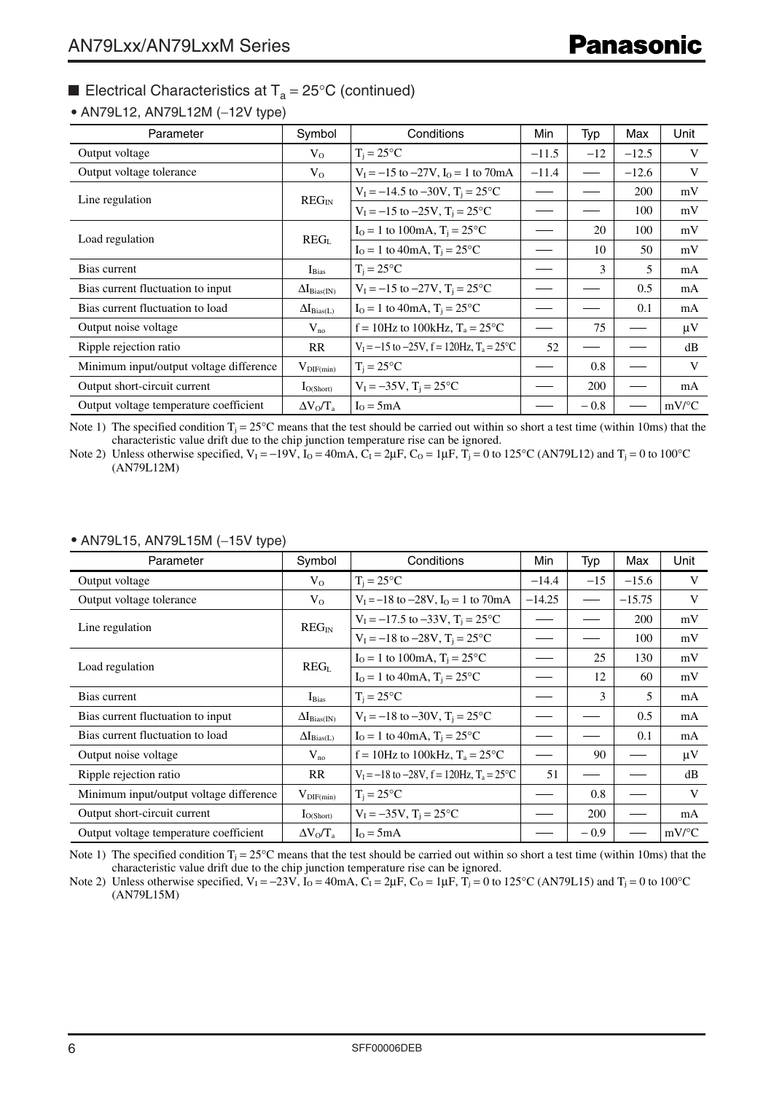#### • AN79L12, AN79L12M (−12V type)

| Parameter                               | Symbol                | Conditions                                                      | Min     | Typ    | Max     | Unit                |
|-----------------------------------------|-----------------------|-----------------------------------------------------------------|---------|--------|---------|---------------------|
| Output voltage                          | $V_{O}$               | $T_i = 25^{\circ}C$                                             | $-11.5$ | $-12$  | $-12.5$ | V                   |
| Output voltage tolerance                | $V_{O}$               | $V_1 = -15$ to $-27V$ , $I_0 = 1$ to $70mA$                     | $-11.4$ |        | $-12.6$ | V                   |
|                                         | $REG_{IN}$            | $V_1 = -14.5$ to $-30V$ , $T_i = 25^{\circ}C$                   |         |        | 200     | mV                  |
| Line regulation                         |                       | $V_1 = -15$ to $-25V$ , $T_i = 25^{\circ}C$                     |         |        | 100     | mV                  |
|                                         | REG <sub>L</sub>      | $I_0 = 1$ to 100mA, $T_i = 25$ °C                               |         | 20     | 100     | mV                  |
| Load regulation                         |                       | $I_0 = 1$ to 40mA, $T_i = 25$ °C                                |         | 10     | 50      | mV                  |
| Bias current                            | $I_{Bias}$            | $T_i = 25^{\circ}C$                                             |         | 3      | 5       | mA                  |
| Bias current fluctuation to input       | $\Delta I_{Bias(IN)}$ | $V_1 = -15$ to $-27V$ , $T_i = 25^{\circ}C$                     |         |        | 0.5     | mA                  |
| Bias current fluctuation to load        | $\Delta I_{Bias(L)}$  | $I_0 = 1$ to 40mA, $T_i = 25^{\circ}C$                          |         |        | 0.1     | mA                  |
| Output noise voltage                    | $V_{no}$              | $f = 10$ Hz to 100kHz, $T_a = 25$ °C                            |         | 75     |         | $\mu$ V             |
| Ripple rejection ratio                  | <b>RR</b>             | $V_1 = -15$ to $-25V$ , $f = 120$ Hz, $T_a = 25$ <sup>o</sup> C | 52      |        |         | dB                  |
| Minimum input/output voltage difference | $V_{\text{DIF}(min)}$ | $T_i = 25^{\circ}C$                                             |         | 0.8    |         | V                   |
| Output short-circuit current            | $I_{O(Short)}$        | $V_1 = -35V$ , $T_i = 25^{\circ}C$                              |         | 200    |         | mA                  |
| Output voltage temperature coefficient  | $\Delta V_0/T_a$      | $I_0 = 5mA$                                                     |         | $-0.8$ |         | $mV$ <sup>o</sup> C |

Note 1) The specified condition  $T_i = 25^{\circ}\text{C}$  means that the test should be carried out within so short a test time (within 10ms) that the characteristic value drift due to the chip junction temperature rise can be ignored.

Note 2) Unless otherwise specified,  $V_1 = -19V$ ,  $I_0 = 40mA$ ,  $C_1 = 2\mu$ F,  $C_0 = 1\mu$ F,  $T_1 = 0$  to 125°C (AN79L12) and  $T_1 = 0$  to 100°C (AN79L12M)

| Parameter                               | Symbol                | Conditions                                                      | Min      | Typ           | Max      | Unit                |
|-----------------------------------------|-----------------------|-----------------------------------------------------------------|----------|---------------|----------|---------------------|
| Output voltage                          | $V_{\Omega}$          | $T_i = 25^{\circ}C$                                             | $-14.4$  | $-15$         | $-15.6$  | V                   |
| Output voltage tolerance                | $V_{0}$               | $V_1 = -18$ to $-28V$ , $I_0 = 1$ to $70mA$                     | $-14.25$ |               | $-15.75$ | V                   |
| Line regulation                         | $REG_{IN}$            | $V_1 = -17.5$ to $-33V$ , $T_1 = 25^{\circ}C$                   |          |               | 200      | mV                  |
|                                         |                       | $V_1 = -18$ to $-28V$ , $T_i = 25^{\circ}C$                     |          |               | 100      | mV                  |
|                                         |                       | $I_0 = 1$ to 100mA, $T_i = 25$ °C                               |          | 25            | 130      | mV                  |
| Load regulation                         | REG <sub>L</sub>      | $I_0 = 1$ to 40mA, $T_i = 25$ °C                                |          | 12            | 60       | mV                  |
| Bias current                            | $I_{Bias}$            | $T_i = 25^{\circ}C$                                             |          | $\mathcal{F}$ | 5        | mA                  |
| Bias current fluctuation to input       | $\Delta I_{Bias(IN)}$ | $V_1 = -18$ to $-30V$ , $T_1 = 25^{\circ}C$                     |          |               | 0.5      | mA                  |
| Bias current fluctuation to load        | $\Delta I_{Bias(L)}$  | $I_0 = 1$ to 40mA, $T_i = 25$ °C                                |          |               | 0.1      | mA                  |
| Output noise voltage                    | $V_{no}$              | $f = 10$ Hz to 100kHz, $T_a = 25$ °C                            |          | 90            |          | μV                  |
| Ripple rejection ratio                  | <b>RR</b>             | $V_1 = -18$ to $-28V$ , $f = 120$ Hz, $T_a = 25$ <sup>o</sup> C | 51       |               |          | dB                  |
| Minimum input/output voltage difference | $V_{\text{DIF}(min)}$ | $T_i = 25^{\circ}C$                                             |          | 0.8           |          | V                   |
| Output short-circuit current            | $I_{O(Short)}$        | $V_1 = -35V$ , $T_i = 25^{\circ}C$                              |          | 200           |          | mA                  |
| Output voltage temperature coefficient  | $\Delta V_0/T_a$      | $I_0 = 5mA$                                                     |          | $-0.9$        |          | $mV$ <sup>o</sup> C |

#### • AN79L15, AN79L15M (−15V type)

Note 1) The specified condition  $T_j = 25^\circ \text{C}$  means that the test should be carried out within so short a test time (within 10ms) that the characteristic value drift due to the chip junction temperature rise can be ignored.

Note 2) Unless otherwise specified,  $V_1 = -23V$ ,  $\dot{I}_0 = 40$  mA,  $\dot{C}_1 = 2\mu$ F,  $C_0 = 1\mu$ F,  $\dot{T}_1 = 0$  to 125°C (AN79L15) and  $T_1 = 0$  to 100°C (AN79L15M)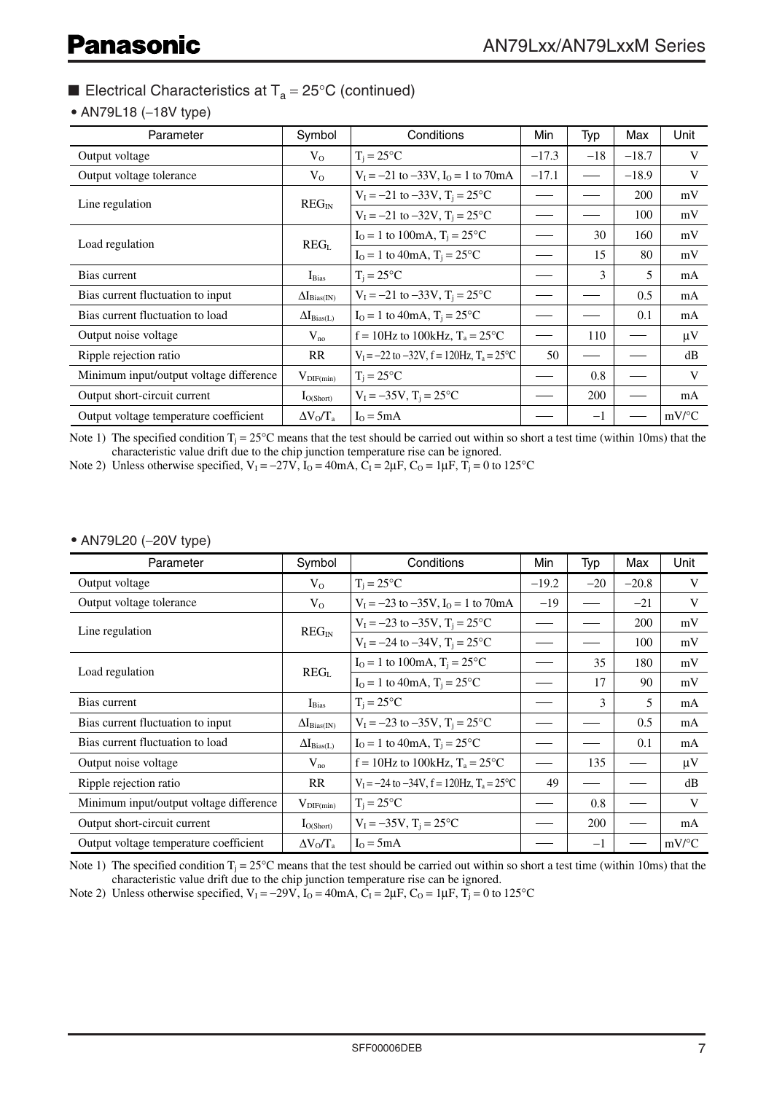#### • AN79L18 (−18V type)

| Parameter                               | Symbol                | Conditions                                                      | Min     | Typ   | Max        | Unit                |
|-----------------------------------------|-----------------------|-----------------------------------------------------------------|---------|-------|------------|---------------------|
| Output voltage                          | $V_0$                 | $T_i = 25$ °C                                                   | $-17.3$ | $-18$ | $-18.7$    | V                   |
| Output voltage tolerance                | $V_0$                 | $V_1 = -21$ to $-33V$ , $I_0 = 1$ to 70mA                       | $-17.1$ |       | $-18.9$    | V                   |
| Line regulation                         | $REG_{IN}$            | $V_1 = -21$ to $-33V$ , $T_i = 25^{\circ}C$                     |         |       | <b>200</b> | mV                  |
|                                         |                       | $V_1 = -21$ to $-32V$ , $T_1 = 25^{\circ}C$                     |         |       | 100        | mV                  |
| Load regulation                         |                       | $I_0 = 1$ to 100mA, $T_i = 25$ °C                               |         | 30    | 160        | mV                  |
|                                         | REG <sub>L</sub>      | $I_0 = 1$ to 40mA, $T_i = 25$ °C                                |         | 15    | 80         | mV                  |
| Bias current                            | $I_{Bias}$            | $T_i = 25$ °C                                                   |         | 3     | 5          | mA                  |
| Bias current fluctuation to input       | $\Delta I_{Bias(IN)}$ | $V_1 = -21$ to $-33V$ , $T_i = 25^{\circ}C$                     |         |       | 0.5        | mA                  |
| Bias current fluctuation to load        | $\Delta I_{Bias(L)}$  | $I_0 = 1$ to 40mA, $T_i = 25$ °C                                |         |       | 0.1        | mA                  |
| Output noise voltage                    | $V_{no}$              | $f = 10$ Hz to 100kHz, $T_a = 25$ °C                            |         | 110   |            | μV                  |
| Ripple rejection ratio                  | RR                    | $V_1 = -22$ to $-32V$ , $f = 120$ Hz, $T_a = 25$ <sup>o</sup> C | 50      |       |            | dB                  |
| Minimum input/output voltage difference | $V_{\text{DIF}(min)}$ | $T_i = 25^{\circ}C$                                             |         | 0.8   |            | V                   |
| Output short-circuit current            | $I_{O(Short)}$        | $V_1 = -35V$ , $T_i = 25^{\circ}C$                              |         | 200   |            | mA                  |
| Output voltage temperature coefficient  | $\Delta V_0/T_a$      | $I_0 = 5mA$                                                     |         | $-1$  |            | $mV$ <sup>o</sup> C |

Note 1) The specified condition  $T_i = 25^\circ \text{C}$  means that the test should be carried out within so short a test time (within 10ms) that the characteristic value drift due to the chip junction temperature rise can be ignored.

Note 2) Unless otherwise specified,  $V_1 = -27V$ ,  $I_0 = 40mA$ ,  $C_1 = 2\mu$ F,  $C_0 = 1\mu$ F,  $T_1 = 0$  to 125°C

#### • AN79L20 (−20V type)

| Parameter                               | Symbol                       | Conditions                                                      | Min     | Typ   | Max     | Unit                |
|-----------------------------------------|------------------------------|-----------------------------------------------------------------|---------|-------|---------|---------------------|
| Output voltage                          | $V_{O}$                      | $T_i = 25$ °C                                                   | $-19.2$ | $-20$ | $-20.8$ | V                   |
| Output voltage tolerance                | $V_{O}$                      | $V_1 = -23$ to $-35V$ , $I_0 = 1$ to 70mA                       | $-19$   |       | $-21$   | V                   |
| Line regulation                         | REG <sub>IN</sub>            | $V_1 = -23$ to $-35V$ , $T_i = 25^{\circ}C$                     |         |       | 200     | mV                  |
|                                         |                              | $V_1 = -24$ to $-34V$ , $T_i = 25^{\circ}C$                     |         |       | 100     | mV                  |
| Load regulation                         | REG <sub>L</sub>             | $I_0 = 1$ to 100mA, $T_i = 25$ °C                               |         | 35    | 180     | mV                  |
|                                         |                              | $I_0 = 1$ to 40mA, $T_i = 25$ °C                                |         | 17    | 90      | mV                  |
| Bias current                            | $I_{Bias}$                   | $T_i = 25$ °C                                                   |         | 3     | 5       | mA                  |
| Bias current fluctuation to input       | $\Delta I_{\text{Bias(IN)}}$ | $V_1 = -23$ to $-35V$ , $T_i = 25^{\circ}C$                     |         |       | 0.5     | mA                  |
| Bias current fluctuation to load        | $\Delta I_{Bias(L)}$         | $I_0 = 1$ to 40mA, $T_i = 25$ °C                                |         |       | 0.1     | mA                  |
| Output noise voltage                    | $V_{no}$                     | $f = 10$ Hz to 100kHz, $T_a = 25$ °C                            |         | 135   |         | μV                  |
| Ripple rejection ratio                  | RR                           | $V_1 = -24$ to $-34V$ , $f = 120$ Hz, $T_a = 25$ <sup>o</sup> C | 49      |       |         | dB                  |
| Minimum input/output voltage difference | $V_{\text{DIF}(min)}$        | $T_i = 25$ °C                                                   |         | 0.8   |         | V                   |
| Output short-circuit current            | $I_{O(Short)}$               | $V_1 = -35V$ , $T_i = 25^{\circ}C$                              |         | 200   |         | mA                  |
| Output voltage temperature coefficient  | $\Delta V_0/T_a$             | $I_0 = 5mA$                                                     |         | $-1$  |         | $mV$ <sup>o</sup> C |

Note 1) The specified condition  $T_i = 25^\circ \text{C}$  means that the test should be carried out within so short a test time (within 10ms) that the characteristic value drift due to the chip junction temperature rise can be ignored.

Note 2) Unless otherwise specified,  $V_1 = -29V$ ,  $I_0 = 40 \text{mA}$ ,  $C_1 = 2 \mu \text{F}$ ,  $C_0 = 1 \mu \text{F}$ ,  $T_1 = 0$  to 125°C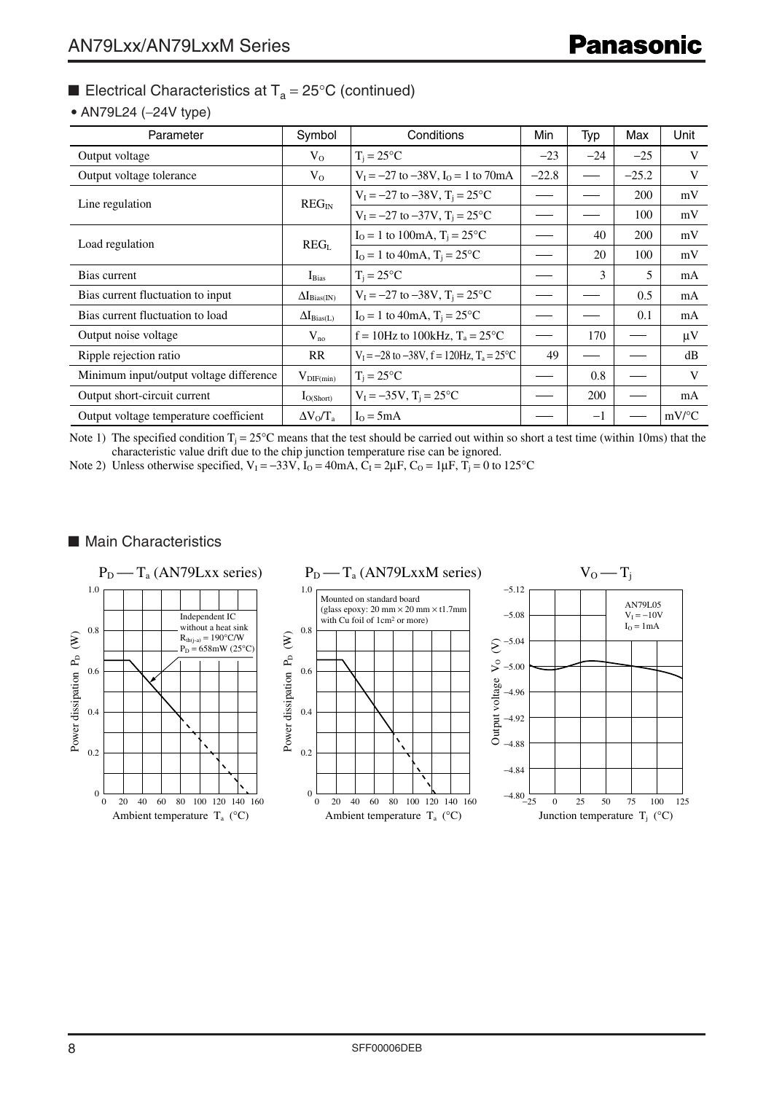#### • AN79L24 (−24V type)

| Parameter                               | Symbol                       | Conditions                                                      | Min     | Typ   | Max     | Unit                |
|-----------------------------------------|------------------------------|-----------------------------------------------------------------|---------|-------|---------|---------------------|
| Output voltage                          | $V_0$                        | $T_i = 25$ °C                                                   | $-23$   | $-24$ | $-25$   | V                   |
| Output voltage tolerance                | $V_0$                        | $V_I = -27$ to $-38V$ , $I_O = 1$ to $70mA$                     | $-22.8$ |       | $-25.2$ | V                   |
| Line regulation                         | $REG_{IN}$                   | $V_1 = -27$ to $-38V$ , $T_i = 25^{\circ}C$                     |         |       | 200     | mV                  |
|                                         |                              | $V_1 = -27$ to $-37V$ , $T_i = 25$ °C                           |         |       | 100     | mV                  |
|                                         | REG <sub>L</sub>             | $I_0 = 1$ to 100mA, $T_i = 25$ °C                               |         | 40    | 200     | mV                  |
| Load regulation                         |                              | $I_0 = 1$ to 40mA, $T_i = 25$ °C                                |         | 20    | 100     | mV                  |
| Bias current                            | $I_{Bias}$                   | $T_i = 25$ °C                                                   |         | 3     | 5       | mA                  |
| Bias current fluctuation to input       | $\Delta I_{\text{Bias(IN)}}$ | $V_1 = -27$ to $-38V$ , $T_i = 25^{\circ}C$                     |         |       | 0.5     | mA                  |
| Bias current fluctuation to load        | $\Delta I_{Bias(L)}$         | $I_0 = 1$ to 40mA, $T_i = 25$ °C                                |         |       | 0.1     | mA                  |
| Output noise voltage                    | $V_{no}$                     | $f = 10$ Hz to 100kHz, $T_a = 25$ °C                            |         | 170   |         | $\mu$ V             |
| Ripple rejection ratio                  | RR                           | $V_1 = -28$ to $-38V$ , $f = 120$ Hz, $T_a = 25$ <sup>o</sup> C | 49      |       |         | dB                  |
| Minimum input/output voltage difference | $V_{\text{DIF}(min)}$        | $T_i = 25^{\circ}C$                                             |         | 0.8   |         | V                   |
| Output short-circuit current            | $I_{O(Short)}$               | $V_I = -35V$ , $T_i = 25^{\circ}C$                              |         | 200   |         | mA                  |
| Output voltage temperature coefficient  | $\Delta V_0/T_a$             | $I_0 = 5mA$                                                     |         | $-1$  |         | $mV$ <sup>o</sup> C |

Note 1) The specified condition  $T_i = 25^\circ \text{C}$  means that the test should be carried out within so short a test time (within 10ms) that the characteristic value drift due to the chip junction temperature rise can be ignored.

Note 2) Unless otherwise specified,  $V_1 = -33V$ ,  $I_0 = 40mA$ ,  $C_1 = 2\mu$ F,  $C_0 = 1\mu$ F,  $T_1 = 0$  to 125°C

#### ■ Main Characteristics

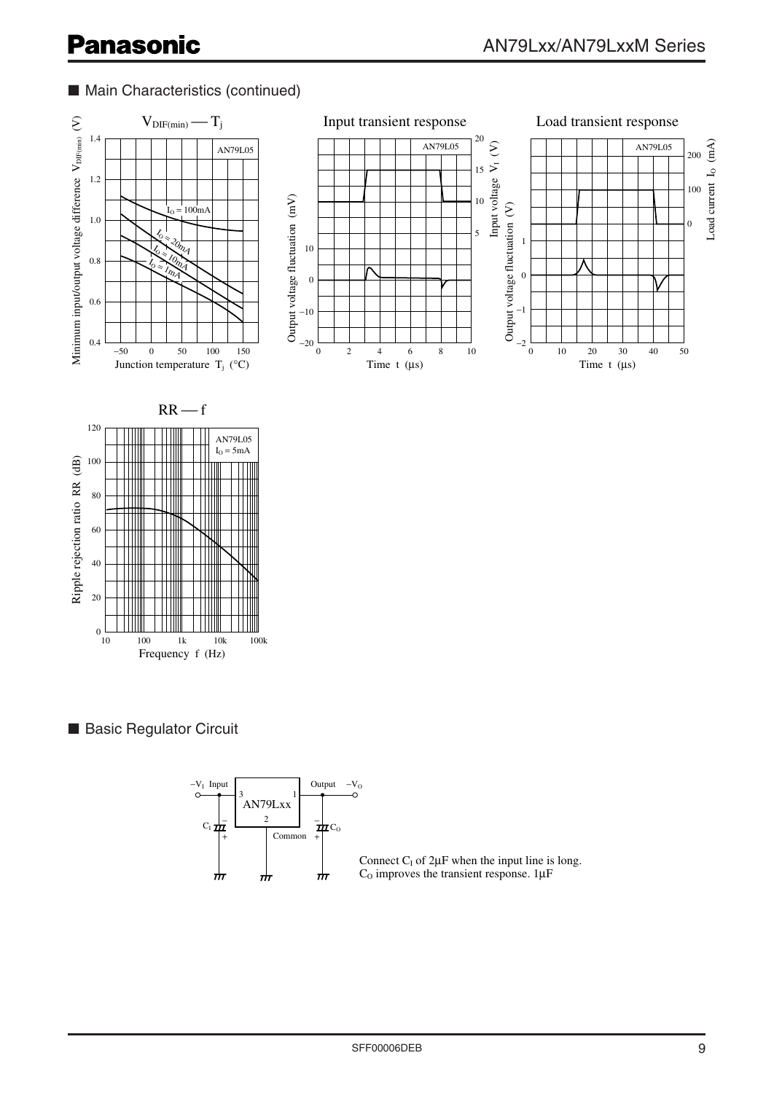# ■ Main Characteristics (continued)



■ Basic Regulator Circuit

Frequency f (Hz)

1k 10k 100k

 $\begin{array}{c} 0 \\ 10 \end{array}$  100



Connect  $C_I$  of  $2\mu F$  when the input line is long.  $C<sub>O</sub>$  improves the transient response. 1 $\mu$ F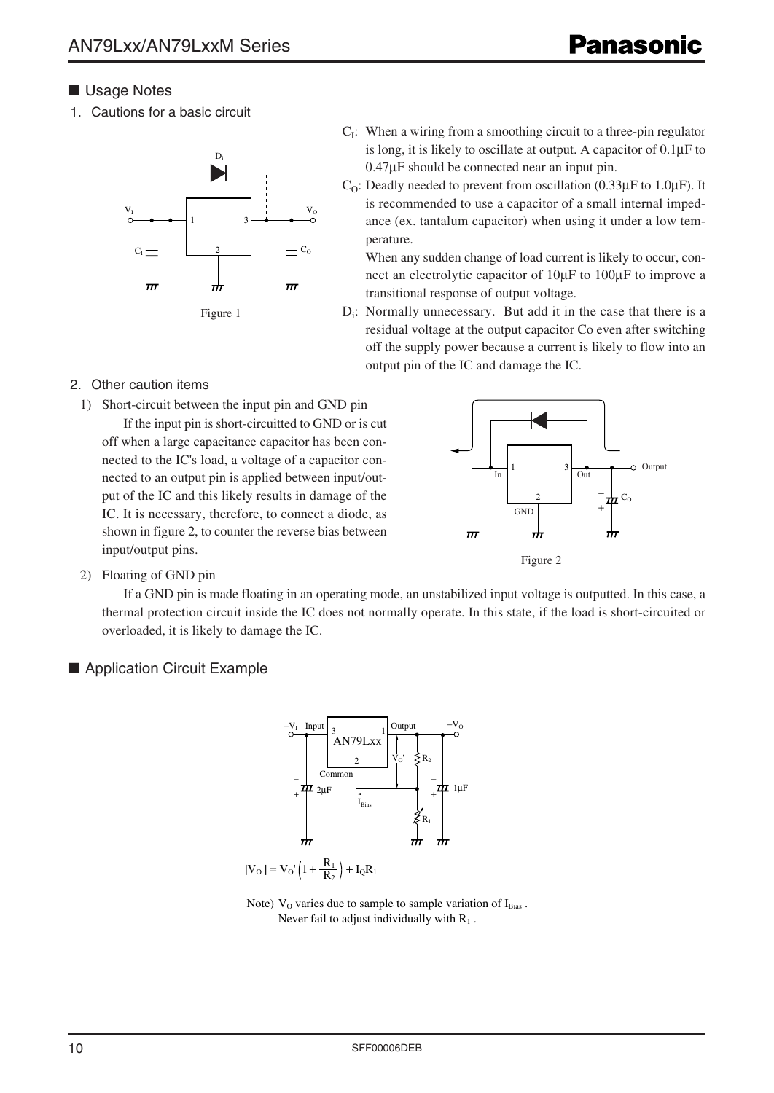### ■ Usage Notes

1. Cautions for a basic circuit



- $C<sub>I</sub>$ : When a wiring from a smoothing circuit to a three-pin regulator is long, it is likely to oscillate at output. A capacitor of 0.1µF to 0.47µF should be connected near an input pin.
- $C<sub>O</sub>$ : Deadly needed to prevent from oscillation (0.33 $\mu$ F to 1.0 $\mu$ F). It is recommended to use a capacitor of a small internal impedance (ex. tantalum capacitor) when using it under a low temperature.

When any sudden change of load current is likely to occur, connect an electrolytic capacitor of 10µF to 100µF to improve a transitional response of output voltage.

D<sub>i</sub>: Normally unnecessary. But add it in the case that there is a residual voltage at the output capacitor Co even after switching off the supply power because a current is likely to flow into an output pin of the IC and damage the IC.

#### 2. Other caution items

1) Short-circuit between the input pin and GND pin

If the input pin is short-circuitted to GND or is cut off when a large capacitance capacitor has been connected to the IC's load, a voltage of a capacitor connected to an output pin is applied between input/output of the IC and this likely results in damage of the IC. It is necessary, therefore, to connect a diode, as shown in figure 2, to counter the reverse bias between input/output pins.



2) Floating of GND pin

If a GND pin is made floating in an operating mode, an unstabilized input voltage is outputted. In this case, a thermal protection circuit inside the IC does not normally operate. In this state, if the load is short-circuited or overloaded, it is likely to damage the IC.

### ■ Application Circuit Example



Note)  $V<sub>O</sub>$  varies due to sample to sample variation of  $I<sub>Bias</sub>$ . Never fail to adjust individually with  $R_1$ .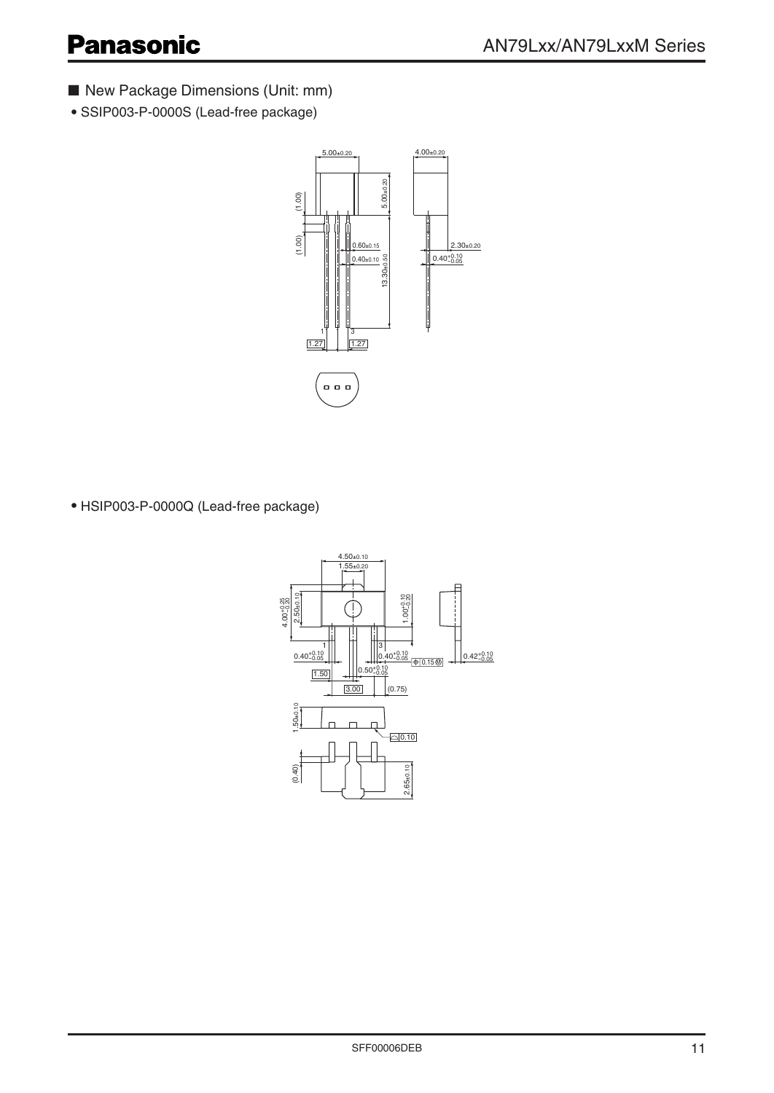- New Package Dimensions (Unit: mm)
- SSIP003-P-0000S (Lead-free package)